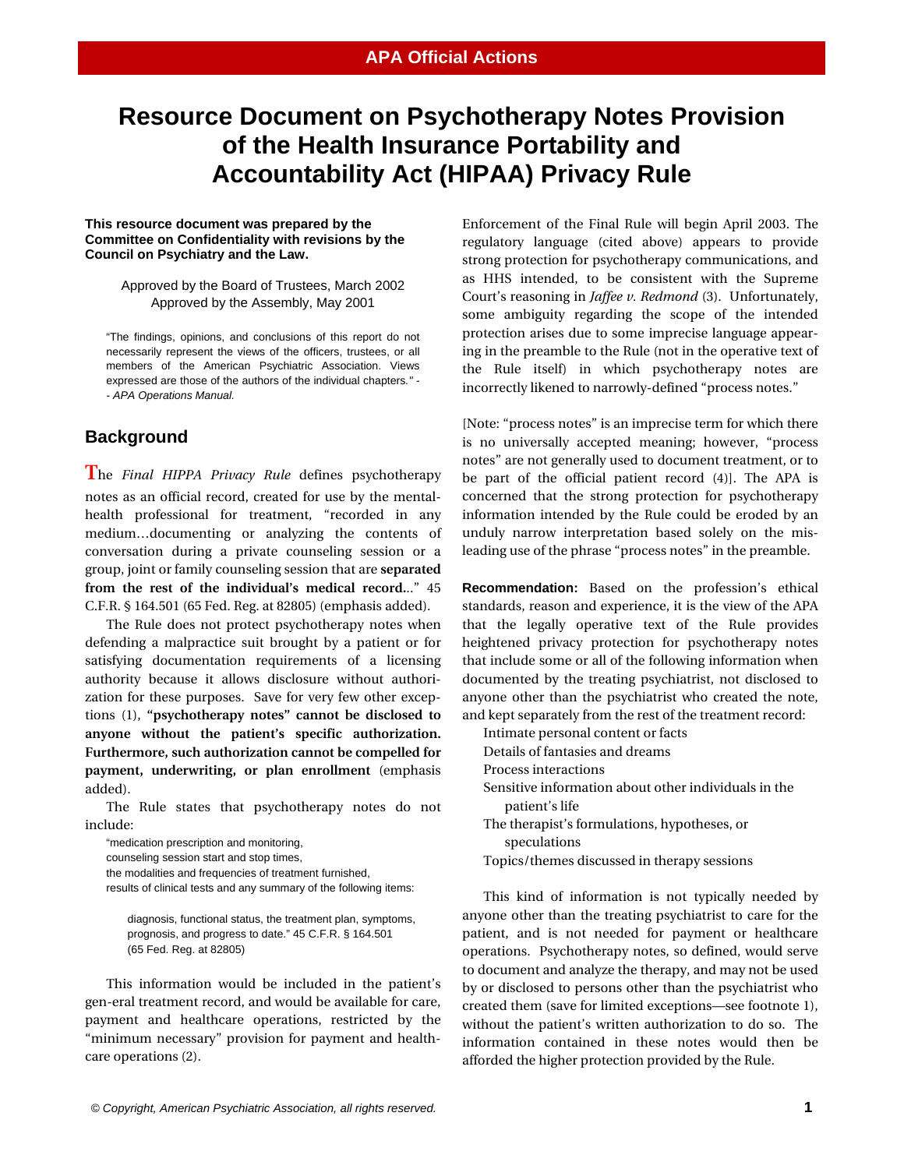## **Resource Document on Psychotherapy Notes Provision of the Health Insurance Portability and Accountability Act (HIPAA) Privacy Rule**

## **This resource document was prepared by the Committee on Confidentiality with revisions by the Council on Psychiatry and the Law.**

Approved by the Board of Trustees, March 2002 Approved by the Assembly, May 2001

"The findings, opinions, and conclusions of this report do not necessarily represent the views of the officers, trustees, or all members of the American Psychiatric Association. Views expressed are those of the authors of the individual chapters*." - - APA Operations Manual.* 

## **Background**

**T**he *Final HIPPA Privacy Rule* defines psychotherapy notes as an official record, created for use by the mentalhealth professional for treatment, "recorded in any medium…documenting or analyzing the contents of conversation during a private counseling session or a group, joint or family counseling session that are **separated from the rest of the individual's medical record.**.." 45 C.F.R. § 164.501 (65 Fed. Reg. at 82805) (emphasis added).

The Rule does not protect psychotherapy notes when defending a malpractice suit brought by a patient or for satisfying documentation requirements of a licensing authority because it allows disclosure without authorization for these purposes. Save for very few other exceptions (1), **"psychotherapy notes" cannot be disclosed to anyone without the patient's specific authorization. Furthermore, such authorization cannot be compelled for payment, underwriting, or plan enrollment** (emphasis added).

The Rule states that psychotherapy notes do not include:

"medication prescription and monitoring, counseling session start and stop times, the modalities and frequencies of treatment furnished, results of clinical tests and any summary of the following items:

diagnosis, functional status, the treatment plan, symptoms, prognosis, and progress to date." 45 C.F.R. § 164.501 (65 Fed. Reg. at 82805)

This information would be included in the patient's gen-eral treatment record, and would be available for care, payment and healthcare operations, restricted by the "minimum necessary" provision for payment and healthcare operations (2).

Enforcement of the Final Rule will begin April 2003. The regulatory language (cited above) appears to provide strong protection for psychotherapy communications, and as HHS intended, to be consistent with the Supreme Court's reasoning in *Jaffee v. Redmond* (3). Unfortunately, some ambiguity regarding the scope of the intended protection arises due to some imprecise language appearing in the preamble to the Rule (not in the operative text of the Rule itself) in which psychotherapy notes are incorrectly likened to narrowly-defined "process notes."

[Note: "process notes" is an imprecise term for which there is no universally accepted meaning; however, "process notes" are not generally used to document treatment, or to be part of the official patient record (4)]. The APA is concerned that the strong protection for psychotherapy information intended by the Rule could be eroded by an unduly narrow interpretation based solely on the misleading use of the phrase "process notes" in the preamble.

**Recommendation:** Based on the profession's ethical standards, reason and experience, it is the view of the APA that the legally operative text of the Rule provides heightened privacy protection for psychotherapy notes that include some or all of the following information when documented by the treating psychiatrist, not disclosed to anyone other than the psychiatrist who created the note, and kept separately from the rest of the treatment record:

Intimate personal content or facts Details of fantasies and dreams

- Process interactions
- Sensitive information about other individuals in the patient's life
- The therapist's formulations, hypotheses, or speculations
- Topics/themes discussed in therapy sessions

This kind of information is not typically needed by anyone other than the treating psychiatrist to care for the patient, and is not needed for payment or healthcare operations. Psychotherapy notes, so defined, would serve to document and analyze the therapy, and may not be used by or disclosed to persons other than the psychiatrist who created them (save for limited exceptions—see footnote 1), without the patient's written authorization to do so. The information contained in these notes would then be afforded the higher protection provided by the Rule.